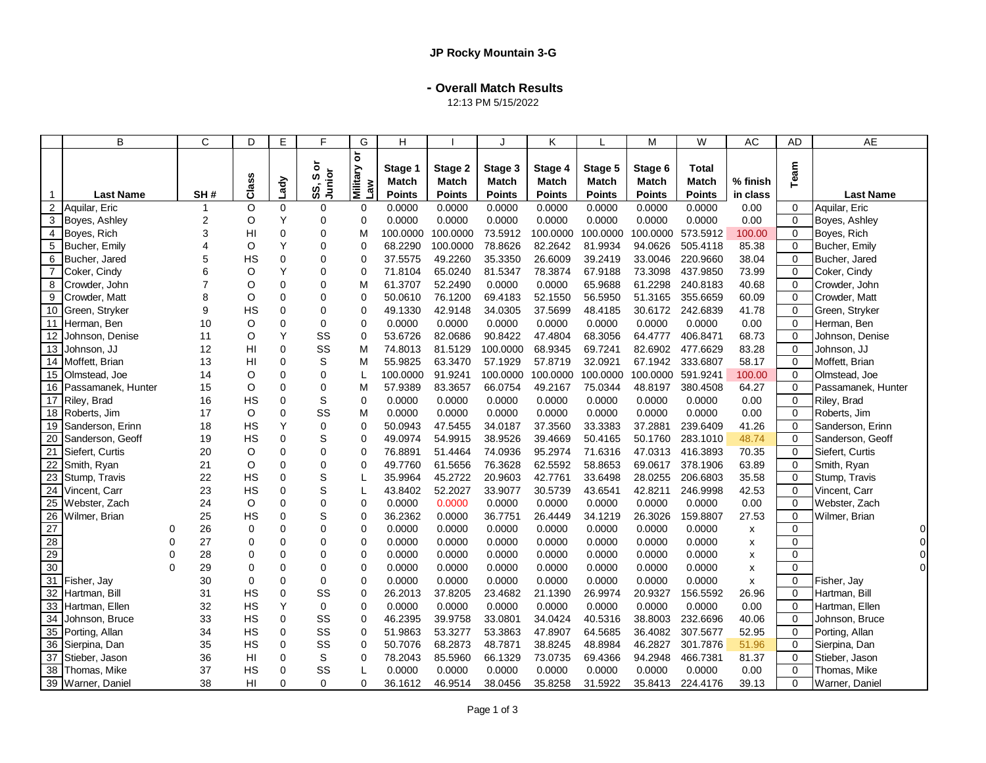**- Overall Match Results**

12:13 PM 5/15/2022

|                 | B                  |          | C              | D              | E              | F                | G                              | Н                |                         | .1                      | K                       |                         | M                | W                            | AC       | AD             | <b>AE</b>          |
|-----------------|--------------------|----------|----------------|----------------|----------------|------------------|--------------------------------|------------------|-------------------------|-------------------------|-------------------------|-------------------------|------------------|------------------------------|----------|----------------|--------------------|
|                 |                    |          |                | Class          |                | ŏ<br>Junior<br>w | ă<br>we 1<br>Krehlli <b>vi</b> | Stage 1<br>Match | Stage 2<br><b>Match</b> | Stage 3<br><b>Match</b> | Stage 4<br><b>Match</b> | Stage 5<br><b>Match</b> | Stage 6<br>Match | <b>Total</b><br><b>Match</b> | % finish | Team           |                    |
|                 | <b>Last Name</b>   |          | SH#            |                | Lady           | SS,              |                                | <b>Points</b>    | <b>Points</b>           | <b>Points</b>           | <b>Points</b>           | <b>Points</b>           | <b>Points</b>    | Points                       | in class |                | <b>Last Name</b>   |
| 2               | Aquilar, Eric      |          | 1              | O              | $\Omega$       | 0                | $\Omega$                       | 0.0000           | 0.0000                  | 0.0000                  | 0.0000                  | 0.0000                  | 0.0000           | 0.0000                       | 0.00     | $\Omega$       | Aquilar, Eric      |
| 3               | Boyes, Ashley      |          | $\overline{2}$ | O              | Y              | 0                | $\Omega$                       | 0.0000           | 0.0000                  | 0.0000                  | 0.0000                  | 0.0000                  | 0.0000           | 0.0000                       | 0.00     | $\Omega$       | Boyes, Ashley      |
| 4               | Boyes, Rich        |          | 3              | H <sub>l</sub> | $\mathbf 0$    | 0                | M                              | 100.0000         | 100.0000                | 73.5912                 | 100.0000                | 100.0000                | 100.0000         | 573.5912                     | 100.00   | $\mathbf 0$    | Boyes, Rich        |
| 5               | Bucher, Emily      |          | 4              | O              | Y              | 0                | $\Omega$                       | 68.2290          | 100.0000                | 78.8626                 | 82.2642                 | 81.9934                 | 94.0626          | 505.4118                     | 85.38    | $\Omega$       | Bucher, Emily      |
| 6               | Bucher, Jared      |          | 5              | HS             | $\mathbf 0$    | 0                | $\Omega$                       | 37.5575          | 49.2260                 | 35.3350                 | 26.6009                 | 39.2419                 | 33.0046          | 220.9660                     | 38.04    | $\mathbf 0$    | Bucher, Jared      |
| $\overline{7}$  | Coker, Cindy       |          | 6              | O              | Y              | $\Omega$         | $\Omega$                       | 71.8104          | 65.0240                 | 81.5347                 | 78.3874                 | 67.9188                 | 73.3098          | 437.9850                     | 73.99    | $\Omega$       | Coker, Cindy       |
| 8               | Crowder, John      |          | $\overline{7}$ | O              | $\mathbf 0$    | 0                | M                              | 61.3707          | 52.2490                 | 0.0000                  | 0.0000                  | 65.9688                 | 61.2298          | 240.8183                     | 40.68    | $\mathbf 0$    | Crowder, John      |
| 9               | Crowder, Matt      |          | 8              | O              | $\mathbf 0$    | 0                | $\Omega$                       | 50.0610          | 76.1200                 | 69.4183                 | 52.1550                 | 56.5950                 | 51.3165          | 355.6659                     | 60.09    | $\Omega$       | Crowder, Matt      |
| 10              | Green, Stryker     |          | 9              | HS             | $\mathbf 0$    | 0                | $\Omega$                       | 49.1330          | 42.9148                 | 34.0305                 | 37.5699                 | 48.4185                 |                  | 30.6172 242.6839             | 41.78    | $\mathbf 0$    | Green, Stryker     |
|                 | 11 Herman, Ben     |          | 10             | O              | $\mathbf 0$    | 0                | $\mathbf 0$                    | 0.0000           | 0.0000                  | 0.0000                  | 0.0000                  | 0.0000                  | 0.0000           | 0.0000                       | 0.00     | $\mathbf 0$    | Herman, Ben        |
| 12              | Johnson, Denise    |          | 11             | O              | Υ              | SS               | 0                              | 53.6726          | 82.0686                 | 90.8422                 | 47.4804                 | 68.3056                 | 64.4777          | 406.8471                     | 68.73    | $\mathbf 0$    | Johnson, Denise    |
| 13              | Johnson, JJ        |          | 12             | HI             | $\mathbf 0$    | SS               | M                              | 74.8013          | 81.5129                 | 100.0000                | 68.9345                 | 69.7241                 | 82.6902          | 477.6629                     | 83.28    | $\Omega$       | Johnson, JJ        |
| 14              | Moffett, Brian     |          | 13             | HI             | $\Omega$       | S                | M                              | 55.9825          | 63.3470                 | 57.1929                 | 57.8719                 | 32.0921                 | 67.1942          | 333.6807                     | 58.17    | $\Omega$       | Moffett, Brian     |
| 15              | Olmstead, Joe      |          | 14             | O              | $\mathbf 0$    | 0                | L                              | 100.0000         | 91.9241                 | 100.0000                | 100.0000                | 100.0000                | 100.0000         | 591.9241                     | 100.00   | $\mathbf 0$    | Olmstead, Joe      |
| 16              | Passamanek, Hunter |          | 15             | O              | $\Omega$       | 0                | M                              | 57.9389          | 83.3657                 | 66.0754                 | 49.2167                 | 75.0344                 | 48.8197          | 380.4508                     | 64.27    | $\Omega$       | Passamanek, Hunter |
| 17              | Riley, Brad        |          | 16             | <b>HS</b>      | $\mathbf 0$    | S                | $\mathbf 0$                    | 0.0000           | 0.0000                  | 0.0000                  | 0.0000                  | 0.0000                  | 0.0000           | 0.0000                       | 0.00     | $\mathbf 0$    | Riley, Brad        |
| 18              | Roberts, Jim       |          | 17             | O              | $\Omega$       | SS               | м                              | 0.0000           | 0.0000                  | 0.0000                  | 0.0000                  | 0.0000                  | 0.0000           | 0.0000                       | 0.00     | $\Omega$       | Roberts, Jim       |
| 19              | Sanderson, Erinn   |          | 18             | <b>HS</b>      | Y              | $\mathbf 0$      | $\mathbf 0$                    | 50.0943          | 47.5455                 | 34.0187                 | 37.3560                 | 33.3383                 | 37.2881          | 239.6409                     | 41.26    | $\mathbf 0$    | Sanderson, Erinn   |
| 20              | Sanderson, Geoff   |          | 19             | <b>HS</b>      | $\overline{0}$ | S                | $\Omega$                       | 49.0974          | 54.9915                 | 38.9526                 | 39.4669                 | 50.4165                 | 50.1760          | 283.1010                     | 48.74    | $\Omega$       | Sanderson, Geoff   |
| 21              | Siefert, Curtis    |          | 20             | O              | $\mathbf 0$    | 0                | $\Omega$                       | 76.8891          | 51.4464                 | 74.0936                 | 95.2974                 | 71.6316                 | 47.0313          | 416.3893                     | 70.35    | $\mathbf 0$    | Siefert, Curtis    |
| 22              | Smith, Ryan        |          | 21             | O              | $\mathbf 0$    | 0                | $\Omega$                       | 49.7760          | 61.5656                 | 76.3628                 | 62.5592                 | 58.8653                 | 69.0617          | 378.1906                     | 63.89    | $\Omega$       | Smith, Ryan        |
| 23              | Stump, Travis      |          | 22             | <b>HS</b>      | $\mathbf 0$    | S                | L                              | 35.9964          | 45.2722                 | 20.9603                 | 42.7761                 | 33.6498                 | 28.0255          | 206.6803                     | 35.58    | $\mathbf 0$    | Stump, Travis      |
| 24              | Vincent, Carr      |          | 23             | <b>HS</b>      | $\overline{0}$ | S                | T                              | 43.8402          | 52.2027                 | 33.9077                 | 30.5739                 | 43.6541                 | 42.8211          | 246.9998                     | 42.53    | $\Omega$       | Vincent, Carr      |
| 25              | Webster, Zach      |          | 24             | O              | $\Omega$       | 0                | $\Omega$                       | 0.0000           | 0.0000                  | 0.0000                  | 0.0000                  | 0.0000                  | 0.0000           | 0.0000                       | 0.00     | $\Omega$       | Webster, Zach      |
| 26              | Wilmer, Brian      |          | 25             | HS             | $\mathbf 0$    | S                | $\Omega$                       | 36.2362          | 0.0000                  | 36.7751                 | 26.4449                 | 34.1219                 | 26.3026          | 159.8807                     | 27.53    | $\mathbf 0$    | Wilmer, Brian      |
| 27              |                    | 0        | 26             | $\mathbf 0$    | $\mathbf 0$    | 0                | $\mathbf 0$                    | 0.0000           | 0.0000                  | 0.0000                  | 0.0000                  | 0.0000                  | 0.0000           | 0.0000                       | x        | $\mathbf 0$    | $\overline{0}$     |
| $\frac{28}{29}$ |                    | $\Omega$ | 27             | $\mathbf 0$    | $\mathbf 0$    | 0                | $\Omega$                       | 0.0000           | 0.0000                  | 0.0000                  | 0.0000                  | 0.0000                  | 0.0000           | 0.0000                       | X        | $\mathbf 0$    | $\overline{0}$     |
|                 |                    | 0        | 28             | $\Omega$       | $\Omega$       | 0                | $\Omega$                       | 0.0000           | 0.0000                  | 0.0000                  | 0.0000                  | 0.0000                  | 0.0000           | 0.0000                       | X        | $\mathbf 0$    | $\Omega$           |
| 30              |                    | $\Omega$ | 29             | $\Omega$       | $\mathbf 0$    | 0                | $\mathbf 0$                    | 0.0000           | 0.0000                  | 0.0000                  | 0.0000                  | 0.0000                  | 0.0000           | 0.0000                       | X        | $\mathbf 0$    |                    |
|                 | 31 Fisher, Jay     |          | 30             | 0              | $\Omega$       | 0                | $\Omega$                       | 0.0000           | 0.0000                  | 0.0000                  | 0.0000                  | 0.0000                  | 0.0000           | 0.0000                       | X        | $\mathbf 0$    | Fisher, Jay        |
| 32              | Hartman, Bill      |          | 31             | HS             | 0              | SS               | $\Omega$                       | 26.2013          | 37.8205                 | 23.4682                 | 21.1390                 | 26.9974                 | 20.9327          | 156.5592                     | 26.96    | $\mathbf 0$    | Hartman, Bill      |
| 33              | Hartman, Ellen     |          | 32             | HS             | Y              | $\mathbf 0$      | 0                              | 0.0000           | 0.0000                  | 0.0000                  | 0.0000                  | 0.0000                  | 0.0000           | 0.0000                       | 0.00     | $\Omega$       | Hartman, Ellen     |
| 34              | Johnson, Bruce     |          | 33             | <b>HS</b>      | $\mathbf 0$    | SS               | 0                              | 46.2395          | 39.9758                 | 33.0801                 | 34.0424                 | 40.5316                 | 38.8003          | 232.6696                     | 40.06    | $\mathbf 0$    | Johnson, Bruce     |
| 35              | Porting, Allan     |          | 34             | <b>HS</b>      | $\Omega$       | SS               | $\Omega$                       | 51.9863          | 53.3277                 | 53.3863                 | 47.8907                 | 64.5685                 | 36.4082          | 307.5677                     | 52.95    | $\Omega$       | Porting, Allan     |
| 36              | Sierpina, Dan      |          | 35             | <b>HS</b>      | $\mathbf 0$    | SS               | $\Omega$                       | 50.7076          | 68.2873                 | 48.7871                 | 38.8245                 | 48.8984                 | 46.2827          | 301.7876                     | 51.96    | $\mathbf 0$    | Sierpina, Dan      |
| 37              | Stieber, Jason     |          | 36             | HI             | $\mathbf 0$    | S                | $\mathbf 0$                    | 78.2043          | 85.5960                 | 66.1329                 | 73.0735                 | 69.4366                 | 94.2948          | 466.7381                     | 81.37    | $\Omega$       | Stieber, Jason     |
| 38              | Thomas, Mike       |          | 37             | HS             | 0              | SS               |                                | 0.0000           | 0.0000                  | 0.0000                  | 0.0000                  | 0.0000                  | 0.0000           | 0.0000                       | 0.00     | $\overline{0}$ | Thomas, Mike       |
|                 | 39 Warner, Daniel  |          | 38             | HI             | $\Omega$       | 0                | $\mathbf 0$                    | 36.1612          | 46.9514                 | 38.0456                 | 35.8258                 | 31.5922                 | 35.8413          | 224.4176                     | 39.13    | $\Omega$       | Warner, Daniel     |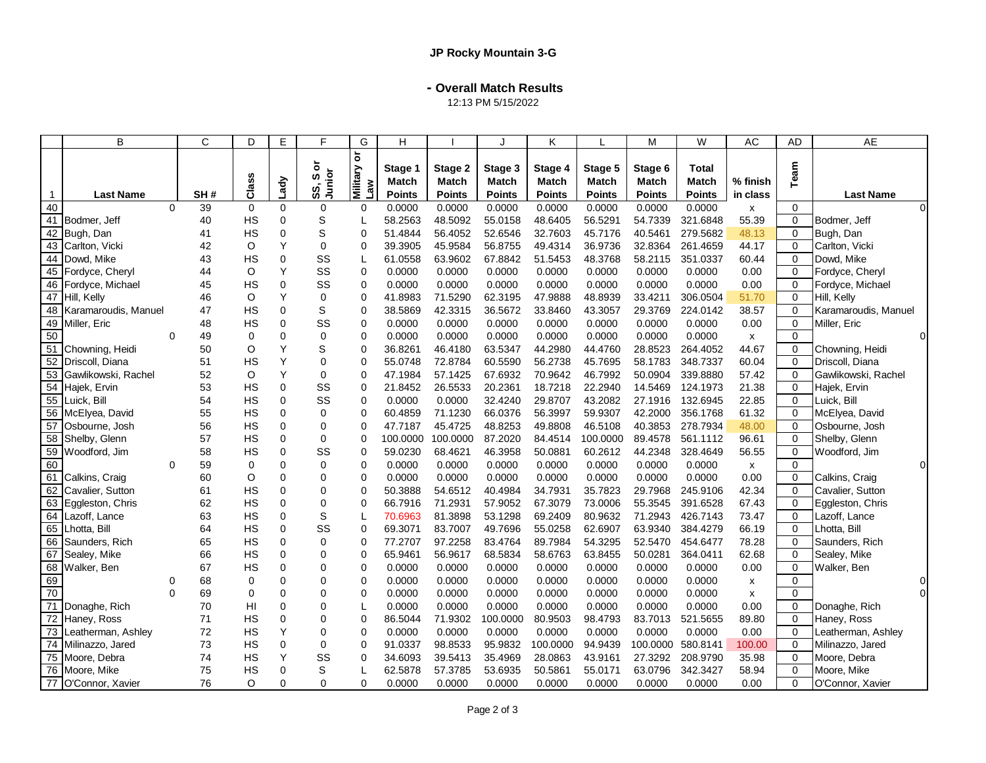**- Overall Match Results**

12:13 PM 5/15/2022

|    | B                                       |          | C        | D               | E                       | F                     | G                                      | H                  |                    |                         | K                       |                         | M                  | W                    | AC             | AD                      | <b>AE</b>                         |
|----|-----------------------------------------|----------|----------|-----------------|-------------------------|-----------------------|----------------------------------------|--------------------|--------------------|-------------------------|-------------------------|-------------------------|--------------------|----------------------|----------------|-------------------------|-----------------------------------|
|    |                                         |          |          | Class           | Lady                    | ১<br>SS, So<br>Junior | $\overline{\sigma}$<br>Military<br>Law | Stage 1<br>Match   | Stage 2<br>Match   | Stage 3<br><b>Match</b> | Stage 4<br><b>Match</b> | Stage 5<br><b>Match</b> | Stage 6<br>Match   | Total<br>Match       | % finish       | Team                    |                                   |
| 1  | <b>Last Name</b>                        |          | SH#      |                 |                         |                       |                                        | <b>Points</b>      | <b>Points</b>      | <b>Points</b>           | <b>Points</b>           | <b>Points</b>           | <b>Points</b>      | <b>Points</b>        | in class       |                         | <b>Last Name</b>                  |
| 40 |                                         | $\Omega$ | 39       | 0               | 0                       | 0                     | $\mathbf 0$                            | 0.0000             | 0.0000             | 0.0000                  | 0.0000                  | 0.0000                  | 0.0000             | 0.0000               | x              | $\Omega$                | $\Omega$                          |
|    | 41 Bodmer, Jeff                         |          | 40       | HS              | $\mathbf 0$             | S                     |                                        | 58.2563            | 48.5092            | 55.0158                 | 48.6405                 | 56.5291                 | 54.7339            | 321.6848             | 55.39          | $\mathbf 0$             | Bodmer, Jeff                      |
|    | 42 Bugh, Dan                            |          | 41       | <b>HS</b>       | $\mathbf 0$             | S                     | $\Omega$                               | 51.4844            | 56.4052            | 52.6546                 | 32.7603                 | 45.7176                 | 40.5461            | 279.5682             | 48.13          | $\Omega$                | Bugh, Dan                         |
|    | 43 Carlton, Vicki                       |          | 42       | O               | Y                       | $\mathbf 0$           | $\mathbf 0$                            | 39.3905            | 45.9584            | 56.8755                 | 49.4314                 | 36.9736                 | 32.8364            | 261.4659             | 44.17          | $\Omega$                | Carlton, Vicki                    |
|    | 44 Dowd, Mike                           |          | 43       | HS              | $\mathbf 0$             | SS                    | L                                      | 61.0558            | 63.9602            | 67.8842                 | 51.5453                 | 48.3768                 | 58.2115            | 351.0337             | 60.44          | $\Omega$                | Dowd, Mike                        |
|    | 45 Fordyce, Cheryl                      |          | 44       | O               | Y                       | SS                    | $\Omega$                               | 0.0000             | 0.0000             | 0.0000                  | 0.0000                  | 0.0000                  | 0.0000             | 0.0000               | 0.00           | $\Omega$                | Fordyce, Cheryl                   |
|    | 46 Fordyce, Michael                     |          | 45       | HS              | 0                       | SS                    | $\mathbf 0$                            | 0.0000             | 0.0000             | 0.0000                  | 0.0000                  | 0.0000                  | 0.0000             | 0.0000               | 0.00           | $\mathbf 0$             | Fordyce, Michael                  |
|    | 47 Hill, Kelly                          |          | 46       | O               | Y                       | 0                     | $\mathbf 0$                            | 41.8983            | 71.5290            | 62.3195                 | 47.9888                 | 48.8939                 | 33.4211            | 306.0504             | 51.70          | $\mathbf 0$             | Hill, Kelly                       |
|    | 48 Karamaroudis, Manuel                 |          | 47       | HS              | 0                       | S                     | $\mathbf 0$                            | 38.5869            | 42.3315            | 36.5672                 | 33.8460                 | 43.3057                 | 29.3769            | 224.0142             | 38.57          | $\mathbf 0$             | Karamaroudis, Manuel              |
|    | 49 Miller, Eric                         |          | 48       | <b>HS</b>       | $\mathbf 0$             | SS                    | $\Omega$                               | 0.0000             | 0.0000             | 0.0000                  | 0.0000                  | 0.0000                  | 0.0000             | 0.0000               | 0.00           | $\Omega$                | Miller, Eric                      |
| 50 |                                         | $\Omega$ | 49       | 0               | $\mathbf 0$             | $\mathbf 0$           | $\mathbf 0$                            | 0.0000             | 0.0000             | 0.0000                  | 0.0000                  | 0.0000                  | 0.0000             | 0.0000               | x              | $\mathbf 0$             | $\Omega$                          |
|    | 51 Chowning, Heidi                      |          | 50       | O               | Y                       | S                     | $\mathbf 0$                            | 36.8261            | 46.4180            | 63.5347                 | 44.2980                 | 44.4760                 | 28.8523            | 264.4052             | 44.67          | $\mathbf 0$             | Chowning, Heidi                   |
|    | 52 Driscoll, Diana                      |          | 51       | HS              | Y                       | $\mathbf 0$           | $\mathbf 0$                            | 55.0748            | 72.8784            | 60.5590                 | 56.2738                 | 45.7695                 | 58.1783            | 348.7337             | 60.04          | $\mathbf 0$             | Driscoll, Diana                   |
|    | 53 Gawlikowski, Rachel                  |          | 52       | O               | Y                       | $\mathbf 0$<br>SS     | $\Omega$                               | 47.1984            | 57.1425            | 67.6932                 | 70.9642<br>18.7218      | 46.7992                 | 50.0904            | 339.8880             | 57.42<br>21.38 | $\Omega$                | Gawlikowski, Rachel               |
|    | 54 Hajek, Ervin                         |          | 53       | HS              | 0                       | SS                    | $\mathbf 0$                            | 21.8452            | 26.5533            | 20.2361                 |                         | 22.2940                 | 14.5469            | 124.1973             |                | $\mathbf 0$             | Hajek, Ervin                      |
|    | 55 Luick, Bill                          |          | 54<br>55 | HS<br><b>HS</b> | $\mathbf 0$<br>$\Omega$ | $\Omega$              | $\mathbf 0$<br>$\Omega$                | 0.0000             | 0.0000<br>71.1230  | 32.4240<br>66.0376      | 29.8707<br>56.3997      | 43.2082<br>59.9307      | 27.1916<br>42.2000 | 132.6945<br>356.1768 | 22.85<br>61.32 | $\Omega$<br>$\Omega$    | Luick, Bill                       |
|    | 56 McElyea, David                       |          |          |                 | $\mathbf 0$             |                       | $\Omega$                               | 60.4859            |                    |                         |                         |                         |                    |                      |                | $\Omega$                | McElyea, David                    |
|    | 57 Osbourne, Josh                       |          | 56       | HS              |                         | 0                     |                                        | 47.7187            | 45.4725            | 48.8253                 | 49.8808                 | 46.5108                 | 40.3853            | 278.7934             | 48.00<br>96.61 |                         | Osbourne, Josh                    |
|    | 58 Shelby, Glenn                        |          | 57       | HS              | $\mathbf 0$             | $\mathbf 0$           | 0                                      | 100.0000           | 100.0000           | 87.2020                 | 84.4514                 | 100.0000                | 89.4578            | 561.1112             |                | $\mathbf 0$             | Shelby, Glenn                     |
| 60 | 59 Woodford, Jim                        |          | 58       | HS              | $\mathbf 0$             | SS<br>$\Omega$        | $\mathbf 0$                            | 59.0230<br>0.0000  | 68.4621            | 46.3958<br>0.0000       | 50.0881<br>0.0000       | 60.2612                 | 44.2348            | 328.4649<br>0.0000   | 56.55          | $\mathbf 0$<br>$\Omega$ | Woodford, Jim<br>$\Omega$         |
|    |                                         | $\Omega$ | 59<br>60 | 0<br>O          | 0<br>$\mathbf 0$        | $\Omega$              | $\Omega$<br>$\mathbf 0$                | 0.0000             | 0.0000<br>0.0000   | 0.0000                  |                         | 0.0000                  | 0.0000<br>0.0000   | 0.0000               | X<br>0.00      | $\mathbf 0$             |                                   |
|    | 61 Calkins, Craig                       |          |          |                 |                         | $\Omega$              |                                        |                    |                    |                         | 0.0000                  | 0.0000                  |                    |                      |                |                         | Calkins, Craig                    |
|    | 62 Cavalier, Sutton                     |          | 61<br>62 | HS<br>HS        | 0<br>$\mathbf 0$        | 0                     | 0<br>$\Omega$                          | 50.3888<br>66.7916 | 54.6512<br>71.2931 | 40.4984<br>57.9052      | 34.7931<br>67.3079      | 35.7823<br>73.0006      | 29.7968<br>55.3545 | 245.9106<br>391.6528 | 42.34<br>67.43 | $\mathbf 0$<br>$\Omega$ | Cavalier, Sutton                  |
|    | 63 Eggleston, Chris<br>64 Lazoff, Lance |          | 63       | HS              | 0                       | S                     |                                        | 70.6963            | 81.3898            | 53.1298                 | 69.2409                 | 80.9632                 | 71.2943            | 426.7143             | 73.47          | $\Omega$                | Eggleston, Chris<br>Lazoff, Lance |
|    | 65 Lhotta, Bill                         |          | 64       | HS              | $\mathbf 0$             | SS                    | L<br>$\mathbf 0$                       | 69.3071            | 83.7007            | 49.7696                 | 55.0258                 | 62.6907                 | 63.9340            | 384.4279             | 66.19          | $\mathbf 0$             | Lhotta, Bill                      |
|    | 66 Saunders, Rich                       |          | 65       | HS              | $\mathbf 0$             | 0                     | $\mathbf 0$                            | 77.2707            | 97.2258            | 83.4764                 | 89.7984                 | 54.3295                 | 52.5470            | 454.6477             | 78.28          | $\mathbf 0$             | Saunders, Rich                    |
|    | 67 Sealey, Mike                         |          | 66       | HS              | 0                       | 0                     | $\Omega$                               | 65.9461            | 56.9617            | 68.5834                 | 58.6763                 | 63.8455                 | 50.0281            | 364.0411             | 62.68          | $\Omega$                | Sealey, Mike                      |
|    | 68 Walker, Ben                          |          | 67       | HS              | 0                       | $\Omega$              | $\mathbf 0$                            | 0.0000             | 0.0000             | 0.0000                  | 0.0000                  | 0.0000                  | 0.0000             | 0.0000               | 0.00           | $\Omega$                | Walker, Ben                       |
| 69 |                                         | $\Omega$ | 68       | 0               | 0                       | 0                     | $\mathbf 0$                            | 0.0000             | 0.0000             | 0.0000                  | 0.0000                  | 0.0000                  | 0.0000             | 0.0000               | x              | $\mathbf 0$             | $\Omega$                          |
| 70 |                                         | $\Omega$ | 69       | 0               | 0                       | $\Omega$              | $\mathbf 0$                            | 0.0000             | 0.0000             | 0.0000                  | 0.0000                  | 0.0000                  | 0.0000             | 0.0000               | x              | $\mathbf 0$             | $\overline{0}$                    |
|    | 71 Donaghe, Rich                        |          | 70       | HI              | 0                       | $\Omega$              | L                                      | 0.0000             | 0.0000             | 0.0000                  | 0.0000                  | 0.0000                  | 0.0000             | 0.0000               | 0.00           | $\mathbf 0$             | Donaghe, Rich                     |
|    | 72 Haney, Ross                          |          | 71       | <b>HS</b>       | $\Omega$                | $\Omega$              | $\Omega$                               | 86.5044            | 71.9302            | 100.0000                | 80.9503                 | 98.4793                 | 83.7013            | 521.5655             | 89.80          | $\Omega$                | Haney, Ross                       |
|    | 73 Leatherman, Ashley                   |          | 72       | HS              | Υ                       | 0                     | $\mathbf 0$                            | 0.0000             | 0.0000             | 0.0000                  | 0.0000                  | 0.0000                  | 0.0000             | 0.0000               | 0.00           | $\mathbf 0$             | Leatherman, Ashley                |
|    | 74 Milinazzo, Jared                     |          | 73       | <b>HS</b>       | $\Omega$                | 0                     | $\Omega$                               | 91.0337            | 98.8533            | 95.9832                 | 100.0000                | 94.9439                 | 100.0000           | 580.8141             | 100.00         | $\Omega$                | Milinazzo, Jared                  |
|    | 75 Moore, Debra                         |          | 74       | HS              | Y                       | SS                    | $\Omega$                               | 34.6093            | 39.5413            | 35.4969                 | 28.0863                 | 43.9161                 | 27.3292            | 208.9790             | 35.98          | $\mathbf 0$             | Moore, Debra                      |
|    | 76 Moore, Mike                          |          | 75       | HS              | $\mathbf 0$             | S                     |                                        | 62.5878            | 57.3785            | 53.6935                 | 50.5861                 | 55.0171                 | 63.0796            | 342.3427             | 58.94          | $\Omega$                | Moore, Mike                       |
|    | 77 O'Connor, Xavier                     |          | 76       | $\circ$         | $\Omega$                | $\Omega$              | 0                                      | 0.0000             | 0.0000             | 0.0000                  | 0.0000                  | 0.0000                  | 0.0000             | 0.0000               | 0.00           | $\Omega$                | O'Connor, Xavier                  |